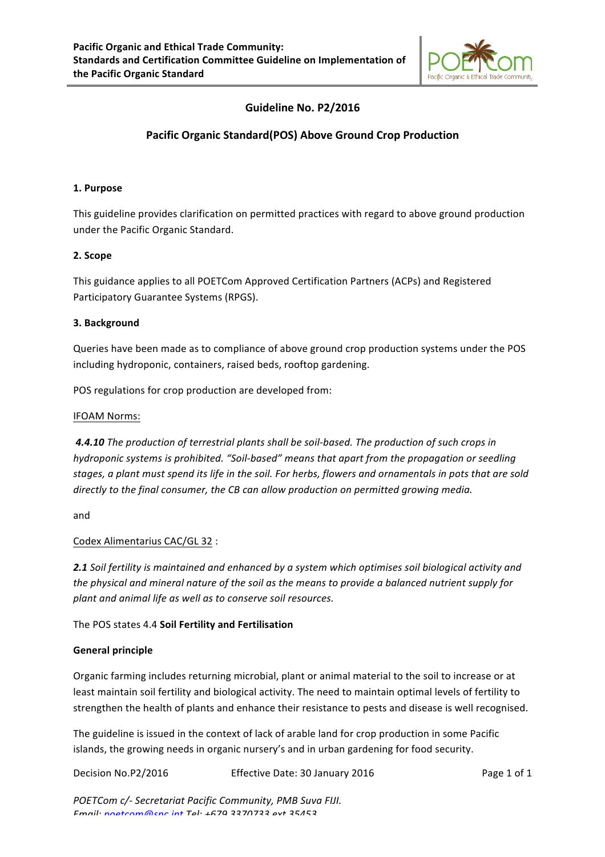

# Guideline No. P2/2016

## **Pacific Organic Standard(POS) Above Ground Crop Production**

### **1. Purpose**

This guideline provides clarification on permitted practices with regard to above ground production under the Pacific Organic Standard.

## **2. Scope**

This guidance applies to all POETCom Approved Certification Partners (ACPs) and Registered Participatory Guarantee Systems (RPGS).

## **3. Background**

Queries have been made as to compliance of above ground crop production systems under the POS including hydroponic, containers, raised beds, rooftop gardening.

POS regulations for crop production are developed from:

### IFOAM Norms:

4.4.10 The production of terrestrial plants shall be soil-based. The production of such crops in *hydroponic systems is prohibited.* "Soil-based" means that apart from the propagation or seedling stages, a plant must spend its life in the soil. For herbs, flowers and ornamentals in pots that are sold directly to the final consumer, the CB can allow production on permitted growing media.

and 

### Codex Alimentarius CAC/GL 32 :

**2.1** *Soil* fertility is maintained and enhanced by a system which optimises soil biological activity and the physical and mineral nature of the soil as the means to provide a balanced nutrient supply for plant and animal life as well as to conserve soil resources.

The POS states 4.4 Soil Fertility and Fertilisation

### **General principle**

Organic farming includes returning microbial, plant or animal material to the soil to increase or at least maintain soil fertility and biological activity. The need to maintain optimal levels of fertility to strengthen the health of plants and enhance their resistance to pests and disease is well recognised.

The guideline is issued in the context of lack of arable land for crop production in some Pacific islands, the growing needs in organic nursery's and in urban gardening for food security.

Decision No.P2/2016 **Effective Date:** 30 January 2016 **Page 1** of 1

*POETCom c/-* Secretariat Pacific Community, PMB Suva FIJI. *Email: poetcom@spc.int Tel: +679 3370733 ext 35453*